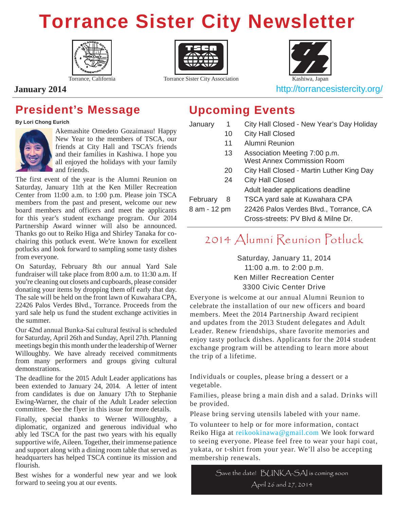### **Torrance Sister City Newsletter**





Torrance, California Torrance Sister City Association Kashiwa, Japan



**January 2014 http://torrancesistercity.org/** 

### **President's Message**

**By Lori Chong Eurich**



Akemashite Omedeto Gozaimasu! Happy New Year to the members of TSCA, our friends at City Hall and TSCA's friends and their families in Kashiwa. I hope you all enjoyed the holidays with your family and friends.

The first event of the year is the Alumni Reunion on Saturday, January 11th at the Ken Miller Recreation Center from 11:00 a.m. to 1:00 p.m. Please join TSCA members from the past and present, welcome our new board members and officers and meet the applicants for this year's student exchange program. Our 2014 Partnership Award winner will also be announced. Thanks go out to Reiko Higa and Shirley Tanaka for cochairing this potluck event. We're known for excellent potlucks and look forward to sampling some tasty dishes from everyone.

On Saturday, February 8th our annual Yard Sale fundraiser will take place from 8:00 a.m. to 11:30 a.m. If you're cleaning out closets and cupboards, please consider donating your items by dropping them off early that day. The sale will be held on the front lawn of Kuwahara CPA, 22426 Palos Verdes Blvd., Torrance. Proceeds from the yard sale help us fund the student exchange activities in the summer.

Our 42nd annual Bunka-Sai cultural festival is scheduled for Saturday, April 26th and Sunday, April 27th. Planning meetings begin this month under the leadership of Werner Willoughby. We have already received commitments from many performers and groups giving cultural demonstrations.

The deadline for the 2015 Adult Leader applications has been extended to January 24, 2014. A letter of intent from candidates is due on January 17th to Stephanie Ewing-Warner, the chair of the Adult Leader selection committee. See the flyer in this issue for more details.

Finally, special thanks to Werner Willoughby, a diplomatic, organized and generous individual who ably led TSCA for the past two years with his equally supportive wife, Aileen. Together, their immense patience and support along with a dining room table that served as headquarters has helped TSCA continue its mission and flourish.

Best wishes for a wonderful new year and we look forward to seeing you at our events.

### **Upcoming Events**

| 1            | City Hall Closed - New Year's Day Holiday                                    |  |  |
|--------------|------------------------------------------------------------------------------|--|--|
| 10           | <b>City Hall Closed</b>                                                      |  |  |
| 11           | Alumni Reunion                                                               |  |  |
| 13           | Association Meeting 7:00 p.m.<br><b>West Annex Commission Room</b>           |  |  |
| 20           | City Hall Closed - Martin Luther King Day                                    |  |  |
| 24           | <b>City Hall Closed</b>                                                      |  |  |
|              | Adult leader applications deadline                                           |  |  |
| 8            | TSCA yard sale at Kuwahara CPA                                               |  |  |
| 8 am - 12 pm | 22426 Palos Verdes Blvd., Torrance, CA<br>Cross-streets: PV Blvd & Milne Dr. |  |  |
|              |                                                                              |  |  |

### 2014 Alumni Reunion Potluck

#### Saturday, January 11, 2014 11:00 a.m. to 2:00 p.m. Ken Miller Recreation Center 3300 Civic Center Drive

Everyone is welcome at our annual Alumni Reunion to celebrate the installation of our new officers and board members. Meet the 2014 Partnership Award recipient and updates from the 2013 Student delegates and Adult Leader. Renew friendships, share favorite memories and enjoy tasty potluck dishes. Applicants for the 2014 student exchange program will be attending to learn more about the trip of a lifetime.

Individuals or couples, please bring a dessert or a vegetable.

Families, please bring a main dish and a salad. Drinks will be provided.

Please bring serving utensils labeled with your name.

To volunteer to help or for more information, contact Reiko Higa at reikookinawa@gmail.com We look forward to seeing everyone. Please feel free to wear your hapi coat, yukata, or t-shirt from your year. We'll also be accepting membership renewals.

Save the date! BUNKA-SAI is coming soon April 26 and 27, 2014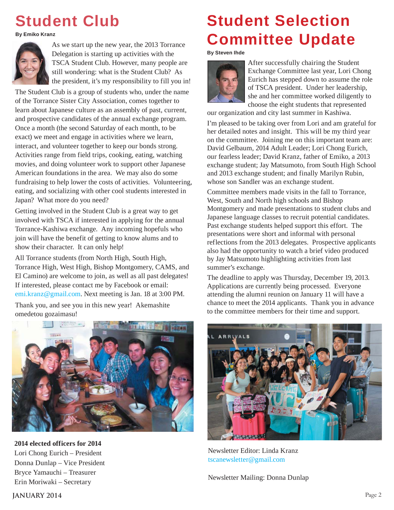### **Student Club**

**By Emiko Kranz** 



As we start up the new year, the 2013 Torrance Delegation is starting up activities with the TSCA Student Club. However, many people are still wondering: what is the Student Club? As the president, it's my responsibility to fill you in!

The Student Club is a group of students who, under the name of the Torrance Sister City Association, comes together to learn about Japanese culture as an assembly of past, current, and prospective candidates of the annual exchange program. Once a month (the second Saturday of each month, to be exact) we meet and engage in activities where we learn, interact, and volunteer together to keep our bonds strong. Activities range from field trips, cooking, eating, watching movies, and doing volunteer work to support other Japanese American foundations in the area. We may also do some fundraising to help lower the costs of activities. Volunteering, eating, and socializing with other cool students interested in Japan? What more do you need?

Getting involved in the Student Club is a great way to get involved with TSCA if interested in applying for the annual Torrance-Kashiwa exchange. Any incoming hopefuls who join will have the benefit of getting to know alums and to show their character. It can only help!

All Torrance students (from North High, South High, Torrance High, West High, Bishop Montgomery, CAMS, and El Camino) are welcome to join, as well as all past delegates! If interested, please contact me by Facebook or email: emi.kranz@gmail.com. Next meeting is Jan. 18 at 3:00 PM.

Thank you, and see you in this new year! Akemashite omedetou gozaimasu!



**2014 elected officers for 2014**  Lori Chong Eurich – President Donna Dunlap – Vice President Bryce Yamauchi – Treasurer Erin Moriwaki – Secretary

### **Student Selection Committee Update**

#### **By Steven Ihde**



After successfully chairing the Student Exchange Committee last year, Lori Chong Eurich has stepped down to assume the role of TSCA president. Under her leadership, she and her committee worked diligently to choose the eight students that represented

our organization and city last summer in Kashiwa.

I'm pleased to be taking over from Lori and am grateful for her detailed notes and insight. This will be my third year on the committee. Joining me on this important team are: David Gelbaum, 2014 Adult Leader; Lori Chong Eurich, our fearless leader; David Kranz, father of Emiko, a 2013 exchange student; Jay Matsumoto, from South High School and 2013 exchange student; and finally Marilyn Rubin, whose son Sandler was an exchange student.

Committee members made visits in the fall to Torrance, West, South and North high schools and Bishop Montgomery and made presentations to student clubs and Japanese language classes to recruit potential candidates. Past exchange students helped support this effort. The presentations were short and informal with personal reflections from the 2013 delegates. Prospective applicants also had the opportunity to watch a brief video produced by Jay Matsumoto highlighting activities from last summer's exchange.

The deadline to apply was Thursday, December 19, 2013. Applications are currently being processed. Everyone attending the alumni reunion on January 11 will have a chance to meet the 2014 applicants. Thank you in advance to the committee members for their time and support.



Newsletter Editor: Linda Kranz tscanewsletter@gmail.com

Newsletter Mailing: Donna Dunlap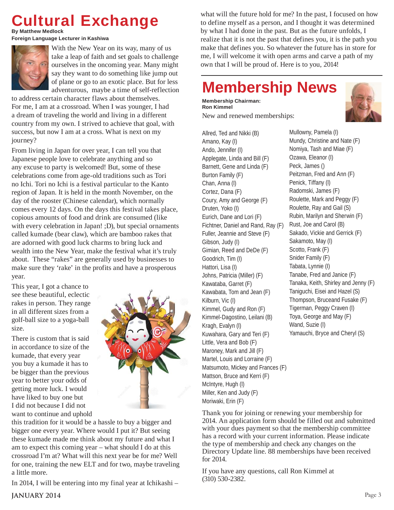### **Cultural Exchange**

**By Matthew Medlock** 

**Foreign Language Lecturer in Kashiwa**



With the New Year on its way, many of us take a leap of faith and set goals to challenge ourselves in the oncoming year. Many might say they want to do something like jump out of plane or go to an exotic place. But for less adventurous, maybe a time of self-reflection

to address certain character flaws about themselves. For me, I am at a crossroad. When I was younger, I had a dream of traveling the world and living in a different country from my own. I strived to achieve that goal, with success, but now I am at a cross. What is next on my journey?

From living in Japan for over year, I can tell you that Japanese people love to celebrate anything and so any excuse to party is welcomed! But, some of these celebrations come from age-old traditions such as Tori no Ichi. Tori no Ichi is a festival particular to the Kanto region of Japan. It is held in the month November, on the day of the rooster (Chinese calendar), which normally comes every 12 days. On the days this festival takes place, copious amounts of food and drink are consumed (like with every celebration in Japan! ; D), but special ornaments called kumade (bear claw), which are bamboo rakes that are adorned with good luck charms to bring luck and wealth into the New Year, make the festival what it's truly about. These "rakes" are generally used by businesses to make sure they 'rake' in the profits and have a prosperous year.

This year, I got a chance to see these beautiful, eclectic rakes in person. They range in all different sizes from a golf-ball size to a yoga-ball size.

There is custom that is said in accordance to size of the kumade, that every year you buy a kumade it has to be bigger than the previous year to better your odds of getting more luck. I would have liked to buy one but I did not because I did not want to continue and uphold



this tradition for it would be a hassle to buy a bigger and bigger one every year. Where would I put it? But seeing these kumade made me think about my future and what I am to expect this coming year – what should I do at this crossroad I'm at? What will this next year be for me? Well for one, training the new ELT and for two, maybe traveling a little more.

In 2014, I will be entering into my final year at Ichikashi –

what will the future hold for me? In the past, I focused on how to define myself as a person, and I thought it was determined by what I had done in the past. But as the future unfolds, I realize that it is not the past that defines you, it is the path you make that defines you. So whatever the future has in store for me, I will welcome it with open arms and carve a path of my own that I will be proud of. Here is to you, 2014!

### **Membership News**

**Membership Chairman: Ron Kimmel** New and renewed memberships:



Mullowny, Pamela (I) Mundy, Christine and Nate (F) Nomiya, Tash and Miae (F) Ozawa, Eleanor (I) Peck, James () Peitzman, Fred and Ann (F) Penick, Tiffany (I) Radomski, James (F) Roulette, Mark and Peggy (F) Roulette, Ray and Gail (S) Rubin, Marilyn and Sherwin (F) Rust, Joe and Carol (B) Sakado, Vickie and Gerrick (F) Sakamoto, May (I) Scotto, Frank (F) Snider Family (F) Tabata, Lynnie (I) Tanabe, Fred and Janice (F) Tanaka, Keith, Shirley and Jenny (F) Taniguchi, Eisei and Hazel (S) Thompson, Bruceand Fusake (F) Tigerman, Peggy Craven (I) Toya, George and May (F) Wand, Suzie (I) Yamauchi, Bryce and Cheryl (S)

Thank you for joining or renewing your membership for 2014. An application form should be filled out and submitted with your dues payment so that the membership committee has a record with your current information. Please indicate the type of membership and check any changes on the Directory Update line. 88 memberships have been received for 2014.

If you have any questions, call Ron Kimmel at (310) 530-2382.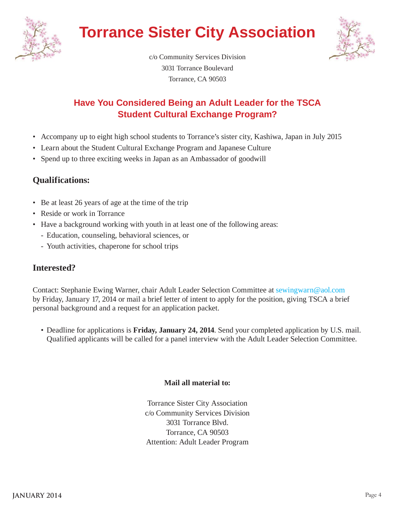

### **Torrance Sister City Association**



c/o Community Services Division 3031 Torrance Boulevard Torrance, CA 90503

#### **Have You Considered Being an Adult Leader for the TSCA Student Cultural Exchange Program?**

- Accompany up to eight high school students to Torrance's sister city, Kashiwa, Japan in July 2015
- Learn about the Student Cultural Exchange Program and Japanese Culture
- Spend up to three exciting weeks in Japan as an Ambassador of goodwill

#### **Qualifications:**

- Be at least 26 years of age at the time of the trip
- Reside or work in Torrance
- Have a background working with youth in at least one of the following areas:
	- Education, counseling, behavioral sciences, or
	- Youth activities, chaperone for school trips

#### **Interested?**

Contact: Stephanie Ewing Warner, chair Adult Leader Selection Committee at sewingwarn@aol.com by Friday, January 17, 2014 or mail a brief letter of intent to apply for the position, giving TSCA a brief personal background and a request for an application packet.

 • Deadline for applications is **Friday, January 24, 2014**. Send your completed application by U.S. mail. Qualified applicants will be called for a panel interview with the Adult Leader Selection Committee.

#### **Mail all material to:**

Torrance Sister City Association c/o Community Services Division 3031 Torrance Blvd. Torrance, CA 90503 Attention: Adult Leader Program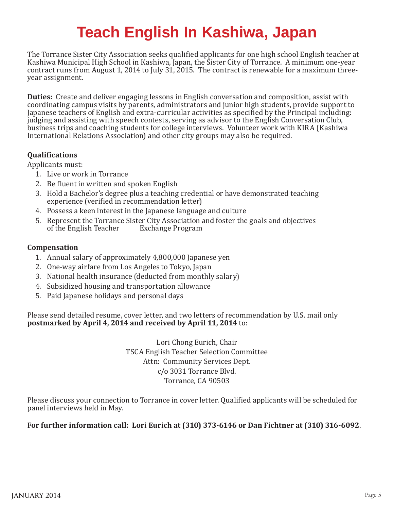### **Teach English In Kashiwa, Japan**

The Torrance Sister City Association seeks qualified applicants for one high school English teacher at Kashiwa Municipal High School in Kashiwa, Japan, the Sister City of Torrance. A minimum one-year contract runs from August 1, 2014 to July 31, 2015. The contract is renewable for a maximum threeyear assignment.

**Duties:** Create and deliver engaging lessons in English conversation and composition, assist with coordinating campus visits by parents, administrators and junior high students, provide support to Japanese teachers of English and extra-curricular activities as specified by the Principal including: judging and assisting with speech contests, serving as advisor to the English Conversation Club, business trips and coaching students for college interviews. Volunteer work with KIRA (Kashiwa International Relations Association) and other city groups may also be required.

#### **Qualifications**

Applicants must:

- 1. Live or work in Torrance
- 2. Be fluent in written and spoken English
- 3. Hold a Bachelor's degree plus a teaching credential or have demonstrated teaching experience (verified in recommendation letter)
- 4. Possess a keen interest in the Japanese language and culture
- 5. Represent the Torrance Sister City Association and foster the goals and objectives of the English Teacher Exchange Program

#### **Compensation**

- 1. Annual salary of approximately 4,800,000 Japanese yen
- 2. One-way airfare from Los Angeles to Tokyo, Japan
- 3. National health insurance (deducted from monthly salary)
- 4. Subsidized housing and transportation allowance
- 5. Paid Japanese holidays and personal days

Please send detailed resume, cover letter, and two letters of recommendation by U.S. mail only **postmarked by April 4, 2014 and received by April 11, 2014** to:

> Lori Chong Eurich, Chair TSCA English Teacher Selection Committee Attn: Community Services Dept. c/o 3031 Torrance Blvd. Torrance, CA 90503

Please discuss your connection to Torrance in cover letter. Qualified applicants will be scheduled for panel interviews held in May.

#### **For further information call: Lori Eurich at (310) 373-6146 or Dan Fichtner at (310) 316-6092**.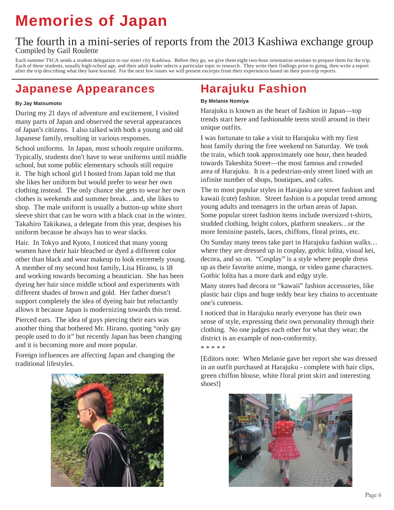### **Memories of Japan**

#### The fourth in a mini-series of reports from the 2013 Kashiwa exchange group Compiled by Gail Roulette

Each summer TSCA sends a student delegation to our sister city Kashiwa. Before they go, we give them eight two-hour orientation sessions to prepare them for the trip. Each of these students, usually high-school age, and their adult leader selects a particular topic to research. They write their findings prior to going, then write a report after the trip describing what they have learned. For the next few issues we will present excerpts from their experiences based on their post-trip reports.

### **Japanese Appearances**

#### **By Jay Matsumoto**

During my 21 days of adventure and excitement, I visited many parts of Japan and observed the several appearances of Japan's citizens. I also talked with both a young and old Japanese family, resulting in various responses.

School uniforms. In Japan, most schools require uniforms. Typically, students don't have to wear uniforms until middle school, but some public elementary schools still require it. The high school girl I hosted from Japan told me that she likes her uniform but would prefer to wear her own clothing instead. The only chance she gets to wear her own clothes is weekends and summer break…and, she likes to shop. The male uniform is usually a button-up white short sleeve shirt that can be worn with a black coat in the winter. Takahiro Takikawa, a delegate from this year, despises his uniform because he always has to wear slacks.

Hair. In Tokyo and Kyoto, I noticed that many young women have their hair bleached or dyed a different color other than black and wear makeup to look extremely young. A member of my second host family, Lisa Hirano, is 18 and working towards becoming a beautician. She has been dyeing her hair since middle school and experiments with different shades of brown and gold. Her father doesn't support completely the idea of dyeing hair but reluctantly allows it because Japan is modernizing towards this trend.

Pierced ears. The idea of guys piercing their ears was another thing that bothered Mr. Hirano, quoting "only gay people used to do it" but recently Japan has been changing and it is becoming more and more popular.

Foreign influences are affecting Japan and changing the traditional lifestyles.



### **Harajuku Fashion**

#### **By Melanie Nomiya**

Harajuku is known as the heart of fashion in Japan—top trends start here and fashionable teens stroll around in their unique outfits.

I was fortunate to take a visit to Harajuku with my first host family during the free weekend on Saturday. We took the train, which took approximately one hour, then headed towards Takeshita Street—the most famous and crowded area of Harajuku. It is a pedestrian-only street lined with an infinite number of shops, boutiques, and cafes.

The to most popular styles in Harajuku are street fashion and kawaii (cute) fashion. Street fashion is a popular trend among young adults and teenagers in the urban areas of Japan. Some popular street fashion items include oversized t-shirts, studded clothing, bright colors, platform sneakers…or the more feminine pastels, laces, chiffons, floral prints, etc.

On Sunday many teens take part in Harajuku fashion walks… where they are dressed up in cosplay, gothic lolita, visual kei, decora, and so on. "Cosplay" is a style where people dress up as their favorite anime, manga, or video game characters. Gothic lolita has a more dark and edgy style.

Many stores had decora or "kawaii" fashion accessories, like plastic hair clips and huge teddy bear key chains to accentuate one's cuteness.

I noticed that in Harajuku nearly everyone has their own sense of style, expressing their own personality through their clothing. No one judges each other for what they wear; the district is an example of non-conformity.

\* \* \* \* \*

[Editors note: When Melanie gave her report she was dressed in an outfit purchased at Harajuku - complete with hair clips, green chiffon blouse, white floral print skirt and interesting shoes!]

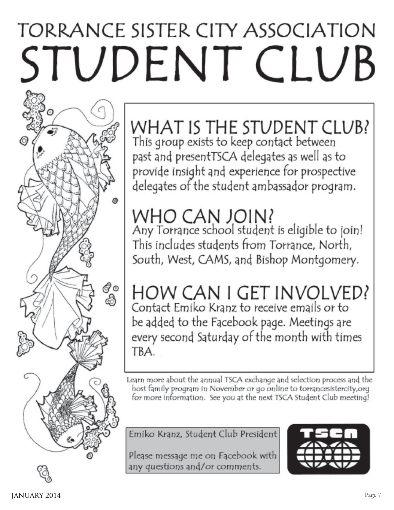# TORRANCE SISTER CITY ASSOCIATION STUDENT CLUB

WHAT IS THE STUDENT CLUB? This group exists to keep contact between past and presentTSCA delegates as well as to provide insight and experience for prospective delegates of the student ambassador program.

## WHO CAN JOIN?

ಿಂ<br>ವಿ

Any Torrance school student is eligible to join! This includes students from Torrance, North, South, West, CAMS, and Bishop Montgomery.

### HOW CAN I GET INVOLVED? Contact Emiko Kranz to receive emails or to

be added to the Facebook page. Meetings are every second Saturday of the month with times TBA.

Learn more about the annual TSCA exchange and selection process and the host family program in November or go online to torrancesistercity,org for more information. See you at the next TSCA Student Club meeting!

Emiko Kranz, Student Club President

Please message me on Facebook with any questions and/or comments.

O